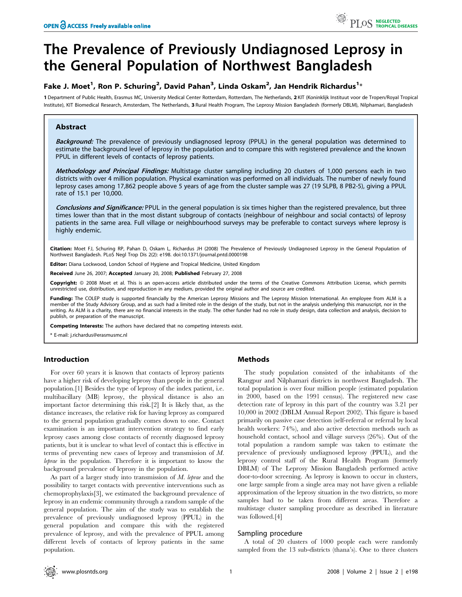# The Prevalence of Previously Undiagnosed Leprosy in the General Population of Northwest Bangladesh

## Fake J. Moet<sup>1</sup>, Ron P. Schuring<sup>2</sup>, David Pahan<sup>3</sup>, Linda Oskam<sup>2</sup>, Jan Hendrik Richardus<sup>1</sup>\*

1 Department of Public Health, Erasmus MC, University Medical Center Rotterdam, Rotterdam, The Netherlands, 2 KIT (Koninklijk Instituut voor de Tropen/Royal Tropical Institute), KIT Biomedical Research, Amsterdam, The Netherlands, 3 Rural Health Program, The Leprosy Mission Bangladesh (formerly DBLM), Nilphamari, Bangladesh

## Abstract

Background: The prevalence of previously undiagnosed leprosy (PPUL) in the general population was determined to estimate the background level of leprosy in the population and to compare this with registered prevalence and the known PPUL in different levels of contacts of leprosy patients.

Methodology and Principal Findings: Multistage cluster sampling including 20 clusters of 1,000 persons each in two districts with over 4 million population. Physical examination was performed on all individuals. The number of newly found leprosy cases among 17,862 people above 5 years of age from the cluster sample was 27 (19 SLPB, 8 PB2-5), giving a PPUL rate of 15.1 per 10,000.

Conclusions and Significance: PPUL in the general population is six times higher than the registered prevalence, but three times lower than that in the most distant subgroup of contacts (neighbour of neighbour and social contacts) of leprosy patients in the same area. Full village or neighbourhood surveys may be preferable to contact surveys where leprosy is highly endemic.

Citation: Moet FJ, Schuring RP, Pahan D, Oskam L, Richardus JH (2008) The Prevalence of Previously Undiagnosed Leprosy in the General Population of Northwest Bangladesh. PLoS Negl Trop Dis 2(2): e198. doi:10.1371/journal.pntd.0000198

Editor: Diana Lockwood, London School of Hygiene and Tropical Medicine, United Kingdom

Received June 26, 2007; Accepted January 20, 2008; Published February 27, 2008

Copyright: © 2008 Moet et al. This is an open-access article distributed under the terms of the Creative Commons Attribution License, which permits unrestricted use, distribution, and reproduction in any medium, provided the original author and source are credited.

Funding: The COLEP study is supported financially by the American Leprosy Missions and The Leprosy Mission International. An employee from ALM is a member of the Study Advisory Group, and as such had a limited role in the design of the study, but not in the analysis underlying this manuscript, nor in the writing. As ALM is a charity, there are no financial interests in the study. The other funder had no role in study design, data collection and analysis, decision to publish, or preparation of the manuscript.

Competing Interests: The authors have declared that no competing interests exist.

\* E-mail: j.richardus@erasmusmc.nl

## Introduction

For over 60 years it is known that contacts of leprosy patients have a higher risk of developing leprosy than people in the general population.[1] Besides the type of leprosy of the index patient, i.e. multibacillary (MB) leprosy, the physical distance is also an important factor determining this risk.[2] It is likely that, as the distance increases, the relative risk for having leprosy as compared to the general population gradually comes down to one. Contact examination is an important intervention strategy to find early leprosy cases among close contacts of recently diagnosed leprosy patients, but it is unclear to what level of contact this is effective in terms of preventing new cases of leprosy and transmission of M. leprae in the population. Therefore it is important to know the background prevalence of leprosy in the population.

As part of a larger study into transmission of  $M$ . leprae and the possibility to target contacts with preventive interventions such as chemoprophylaxis[3], we estimated the background prevalence of leprosy in an endemic community through a random sample of the general population. The aim of the study was to establish the prevalence of previously undiagnosed leprosy (PPUL) in the general population and compare this with the registered prevalence of leprosy, and with the prevalence of PPUL among different levels of contacts of leprosy patients in the same population.

## Methods

The study population consisted of the inhabitants of the Rangpur and Nilphamari districts in northwest Bangladesh. The total population is over four million people (estimated population in 2000, based on the 1991 census). The registered new case detection rate of leprosy in this part of the country was 3.21 per 10,000 in 2002 (DBLM Annual Report 2002). This figure is based primarily on passive case detection (self-referral or referral by local health workers: 74%), and also active detection methods such as household contact, school and village surveys (26%). Out of the total population a random sample was taken to estimate the prevalence of previously undiagnosed leprosy (PPUL), and the leprosy control staff of the Rural Health Program (formerly DBLM) of The Leprosy Mission Bangladesh performed active door-to-door screening. As leprosy is known to occur in clusters, one large sample from a single area may not have given a reliable approximation of the leprosy situation in the two districts, so more samples had to be taken from different areas. Therefore a multistage cluster sampling procedure as described in literature was followed.[4]

#### Sampling procedure

A total of 20 clusters of 1000 people each were randomly sampled from the 13 sub-districts (thana's). One to three clusters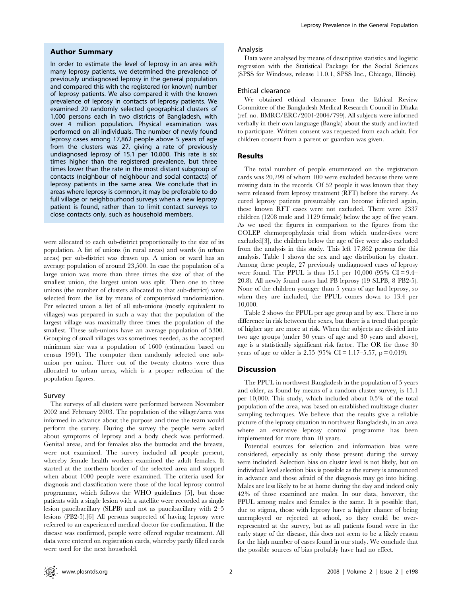#### Author Summary

In order to estimate the level of leprosy in an area with many leprosy patients, we determined the prevalence of previously undiagnosed leprosy in the general population and compared this with the registered (or known) number of leprosy patients. We also compared it with the known prevalence of leprosy in contacts of leprosy patients. We examined 20 randomly selected geographical clusters of 1,000 persons each in two districts of Bangladesh, with over 4 million population. Physical examination was performed on all individuals. The number of newly found leprosy cases among 17,862 people above 5 years of age from the clusters was 27, giving a rate of previously undiagnosed leprosy of 15.1 per 10,000. This rate is six times higher than the registered prevalence, but three times lower than the rate in the most distant subgroup of contacts (neighbour of neighbour and social contacts) of leprosy patients in the same area. We conclude that in areas where leprosy is common, it may be preferable to do full village or neighbourhood surveys when a new leprosy patient is found, rather than to limit contact surveys to close contacts only, such as household members.

were allocated to each sub-district proportionally to the size of its population. A list of unions (in rural areas) and wards (in urban areas) per sub-district was drawn up. A union or ward has an average population of around 23,500. In case the population of a large union was more than three times the size of that of the smallest union, the largest union was split. Then one to three unions (the number of clusters allocated to that sub-district) were selected from the list by means of computerised randomisation. Per selected union a list of all sub-unions (mostly equivalent to villages) was prepared in such a way that the population of the largest village was maximally three times the population of the smallest. These sub-unions have an average population of 5300. Grouping of small villages was sometimes needed, as the accepted minimum size was a population of 1600 (estimation based on census 1991). The computer then randomly selected one subunion per union. Three out of the twenty clusters were thus allocated to urban areas, which is a proper reflection of the population figures.

#### Survey

The surveys of all clusters were performed between November 2002 and February 2003. The population of the village/area was informed in advance about the purpose and time the team would perform the survey. During the survey the people were asked about symptoms of leprosy and a body check was performed. Genital areas, and for females also the buttocks and the breasts, were not examined. The survey included all people present, whereby female health workers examined the adult females. It started at the northern border of the selected area and stopped when about 1000 people were examined. The criteria used for diagnosis and classification were those of the local leprosy control programme, which follows the WHO guidelines [5], but those patients with a single lesion with a satellite were recorded as single lesion paucibacillary (SLPB) and not as paucibacillary with 2–5 lesions (PB2-5).[6] All persons suspected of having leprosy were referred to an experienced medical doctor for confirmation. If the disease was confirmed, people were offered regular treatment. All data were entered on registration cards, whereby partly filled cards were used for the next household.

#### Analysis

Data were analysed by means of descriptive statistics and logistic regression with the Statistical Package for the Social Sciences (SPSS for Windows, release 11.0.1, SPSS Inc., Chicago, Illinois).

#### Ethical clearance

We obtained ethical clearance from the Ethical Review Committee of the Bangladesh Medical Research Council in Dhaka (ref. no. BMRC/ERC/2001-2004/799). All subjects were informed verbally in their own language (Bangla) about the study and invited to participate. Written consent was requested from each adult. For children consent from a parent or guardian was given.

#### Results

The total number of people enumerated on the registration cards was 20,299 of whom 100 were excluded because there were missing data in the records. Of 52 people it was known that they were released from leprosy treatment (RFT) before the survey. As cured leprosy patients presumably can become infected again, these known RFT cases were not excluded. There were 2337 children (1208 male and 1129 female) below the age of five years. As we used the figures in comparison to the figures from the COLEP chemoprophylaxis trial from which under-fives were excluded[3], the children below the age of five were also excluded from the analysis in this study. This left 17,862 persons for this analysis. Table 1 shows the sex and age distribution by cluster. Among these people, 27 previously undiagnosed cases of leprosy were found. The PPUL is thus 15.1 per 10,000 (95% CI =  $9.4-$ 20.8). All newly found cases had PB leprosy (19 SLPB, 8 PB2-5). None of the children younger than 5 years of age had leprosy, so when they are included, the PPUL comes down to 13.4 per 10,000.

Table 2 shows the PPUL per age group and by sex. There is no difference in risk between the sexes, but there is a trend that people of higher age are more at risk. When the subjects are divided into two age groups (under 30 years of age and 30 years and above), age is a statistically significant risk factor. The OR for those 30 years of age or older is 2.55 (95% CI = 1.17–5.57, p = 0.019).

#### Discussion

The PPUL in northwest Bangladesh in the population of 5 years and older, as found by means of a random cluster survey, is 15.1 per 10,000. This study, which included about 0.5% of the total population of the area, was based on established multistage cluster sampling techniques. We believe that the results give a reliable picture of the leprosy situation in northwest Bangladesh, in an area where an extensive leprosy control programme has been implemented for more than 10 years.

Potential sources for selection and information bias were considered, especially as only those present during the survey were included. Selection bias on cluster level is not likely, but on individual level selection bias is possible as the survey is announced in advance and those afraid of the diagnosis may go into hiding. Males are less likely to be at home during the day and indeed only 42% of those examined are males. In our data, however, the PPUL among males and females is the same. It is possible that, due to stigma, those with leprosy have a higher chance of being unemployed or rejected at school, so they could be overrepresented at the survey, but as all patients found were in the early stage of the disease, this does not seem to be a likely reason for the high number of cases found in our study. We conclude that the possible sources of bias probably have had no effect.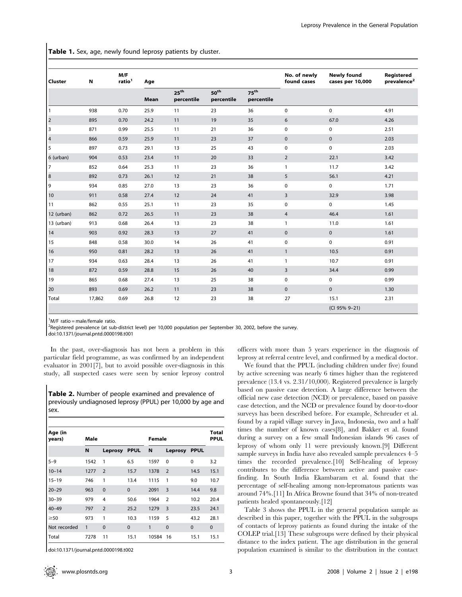Table 1. Sex, age, newly found leprosy patients by cluster.

| <b>Cluster</b>          | N      | M/F<br>ratio <sup>1</sup> | Age  |                                |                                |                         | No. of newly<br>found cases | <b>Newly found</b><br>cases per 10,000 | Registered<br>prevalence <sup>2</sup> |
|-------------------------|--------|---------------------------|------|--------------------------------|--------------------------------|-------------------------|-----------------------------|----------------------------------------|---------------------------------------|
|                         |        |                           | Mean | 25 <sup>th</sup><br>percentile | 50 <sup>th</sup><br>percentile | $75^{th}$<br>percentile |                             |                                        |                                       |
| $\vert$ 1               | 938    | 0.70                      | 25.9 | 11                             | 23                             | 36                      | 0                           | $\mathbf 0$                            | 4.91                                  |
| $\overline{\mathbf{c}}$ | 895    | 0.70                      | 24.2 | 11                             | 19                             | 35                      | 6                           | 67.0                                   | 4.26                                  |
| $\overline{\mathbf{3}}$ | 871    | 0.99                      | 25.5 | 11                             | 21                             | 36                      | $\pmb{0}$                   | $\mathbf 0$                            | 2.51                                  |
| $\overline{\mathbf{4}}$ | 866    | 0.59                      | 25.9 | 11                             | 23                             | 37                      | $\mathbf 0$                 | $\mathbf 0$                            | 2.03                                  |
| 5                       | 897    | 0.73                      | 29.1 | 13                             | 25                             | 43                      | 0                           | $\mathbf 0$                            | 2.03                                  |
| 6 (urban)               | 904    | 0.53                      | 23.4 | 11                             | 20                             | 33                      | $\overline{2}$              | 22.1                                   | 3.42                                  |
| 7                       | 852    | 0.64                      | 25.3 | 11                             | 23                             | 36                      | $\mathbf{1}$                | 11.7                                   | 3.42                                  |
| $\bf 8$                 | 892    | 0.73                      | 26.1 | 12                             | 21                             | 38                      | 5                           | 56.1                                   | 4.21                                  |
| 9                       | 934    | 0.85                      | 27.0 | 13                             | 23                             | 36                      | $\pmb{0}$                   | 0                                      | 1.71                                  |
| 10                      | 911    | 0.58                      | 27.4 | 12                             | 24                             | 41                      | 3                           | 32.9                                   | 3.98                                  |
| 11                      | 862    | 0.55                      | 25.1 | 11                             | 23                             | 35                      | 0                           | $\mathbf 0$                            | 1.45                                  |
| 12 (urban)              | 862    | 0.72                      | 26.5 | 11                             | 23                             | 38                      | $\overline{4}$              | 46.4                                   | 1.61                                  |
| 13 (urban)              | 913    | 0.68                      | 26.4 | 13                             | 23                             | 38                      | $\mathbf{1}$                | 11.0                                   | 1.61                                  |
| 14                      | 903    | 0.92                      | 28.3 | 13                             | 27                             | 41                      | $\mathbf 0$                 | $\mathbf 0$                            | 1.61                                  |
| 15                      | 848    | 0.58                      | 30.0 | 14                             | 26                             | 41                      | 0                           | $\mathbf 0$                            | 0.91                                  |
| 16                      | 950    | 0.81                      | 28.2 | 13                             | 26                             | 41                      | $\mathbf{1}$                | 10.5                                   | 0.91                                  |
| 17                      | 934    | 0.63                      | 28.4 | 13                             | 26                             | 41                      | $\mathbf{1}$                | 10.7                                   | 0.91                                  |
| 18                      | 872    | 0.59                      | 28.8 | 15                             | 26                             | 40                      | 3                           | 34.4                                   | 0.99                                  |
| 19                      | 865    | 0.68                      | 27.4 | 13                             | 25                             | 38                      | 0                           | $\mathbf 0$                            | 0.99                                  |
| 20                      | 893    | 0.69                      | 26.2 | 11                             | 23                             | 38                      | $\mathbf 0$                 | $\mathbf 0$                            | 1.30                                  |
| Total                   | 17,862 | 0.69                      | 26.8 | 12                             | 23                             | 38                      | 27                          | 15.1                                   | 2.31                                  |
|                         |        |                           |      |                                |                                |                         |                             | (CI 95% 9-21)                          |                                       |

1 M/F ratio = male/female ratio.

<sup>2</sup>Registered prevalence (at sub-district level) per 10,000 population per September 30, 2002, before the survey.

doi:10.1371/journal.pntd.0000198.t001

In the past, over-diagnosis has not been a problem in this particular field programme, as was confirmed by an independent evaluator in 2001[7], but to avoid possible over-diagnosis in this study, all suspected cases were seen by senior leprosy control

Table 2. Number of people examined and prevalence of previously undiagnosed leprosy (PPUL) per 10,000 by age and sex.

| Age (in<br>years) | Male |                |             | Female | Total<br><b>PPUL</b> |             |          |
|-------------------|------|----------------|-------------|--------|----------------------|-------------|----------|
|                   | N    | Leprosy        | <b>PPUL</b> | N      | Leprosy              | <b>PPUL</b> |          |
| $5 - 9$           | 1542 | 1              | 6.5         | 1597   | $\Omega$             | 0           | 3.2      |
| $10 - 14$         | 1277 | $\overline{2}$ | 15.7        | 1378   | $\overline{2}$       | 14.5        | 15.1     |
| $15 - 19$         | 746  | 1              | 13.4        | 1115   | 1                    | 9.0         | 10.7     |
| $20 - 29$         | 963  | $\mathbf 0$    | $\Omega$    | 2091   | 3                    | 14.4        | 9.8      |
| $30 - 39$         | 979  | 4              | 50.6        | 1964   | $\overline{2}$       | 10.2        | 20.4     |
| $40 - 49$         | 797  | $\overline{2}$ | 25.2        | 1279   | 3                    | 23.5        | 24.1     |
| $\geq 50$         | 973  | 1              | 10.3        | 1159   | 5                    | 43.2        | 28.1     |
| Not recorded      | 1    | $\mathbf 0$    | $\Omega$    | 1      | $\Omega$             | $\Omega$    | $\Omega$ |
| Total             | 7278 | 11             | 15.1        | 10584  | 16                   | 15.1        | 15.1     |

doi:10.1371/journal.pntd.0000198.t002

officers with more than 5 years experience in the diagnosis of leprosy at referral centre level, and confirmed by a medical doctor.

We found that the PPUL (including children under five) found by active screening was nearly 6 times higher than the registered prevalence (13.4 vs. 2.31/10,000). Registered prevalence is largely based on passive case detection. A large difference between the official new case detection (NCD) or prevalence, based on passive case detection, and the NCD or prevalence found by door-to-door surveys has been described before. For example, Schreuder et al. found by a rapid village survey in Java, Indonesia, two and a half times the number of known cases[8], and Bakker et al. found during a survey on a few small Indonesian islands 96 cases of leprosy of whom only 11 were previously known.[9] Different sample surveys in India have also revealed sample prevalences 4–5 times the recorded prevalence.[10] Self-healing of leprosy contributes to the difference between active and passive casefinding. In South India Ekambaram et al. found that the percentage of self-healing among non-lepromatous patients was around 74%.[11] In Africa Browne found that 34% of non-treated patients healed spontaneously.[12]

Table 3 shows the PPUL in the general population sample as described in this paper, together with the PPUL in the subgroups of contacts of leprosy patients as found during the intake of the COLEP trial.[13] These subgroups were defined by their physical distance to the index patient. The age distribution in the general population examined is similar to the distribution in the contact